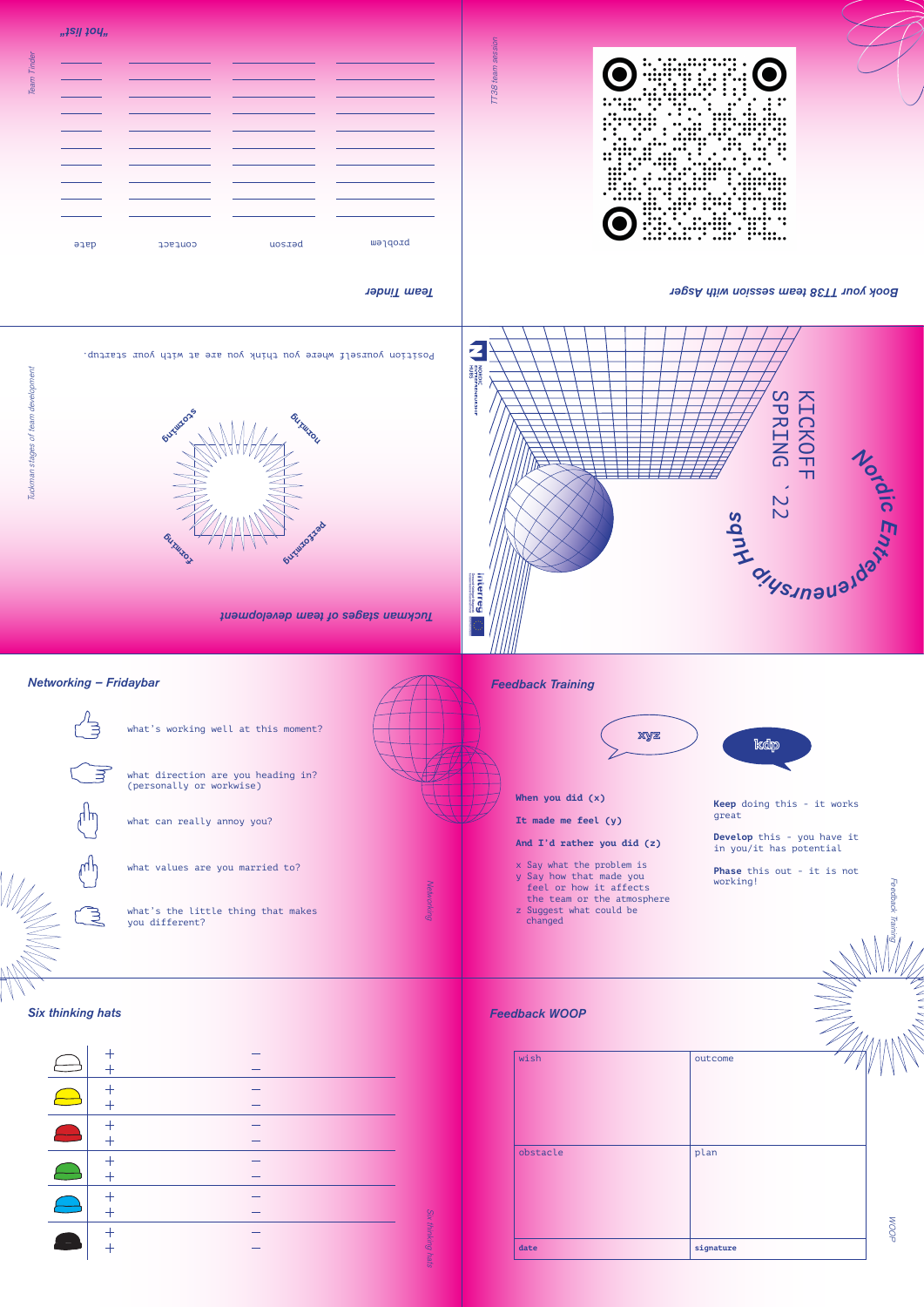

*Feedback Training*